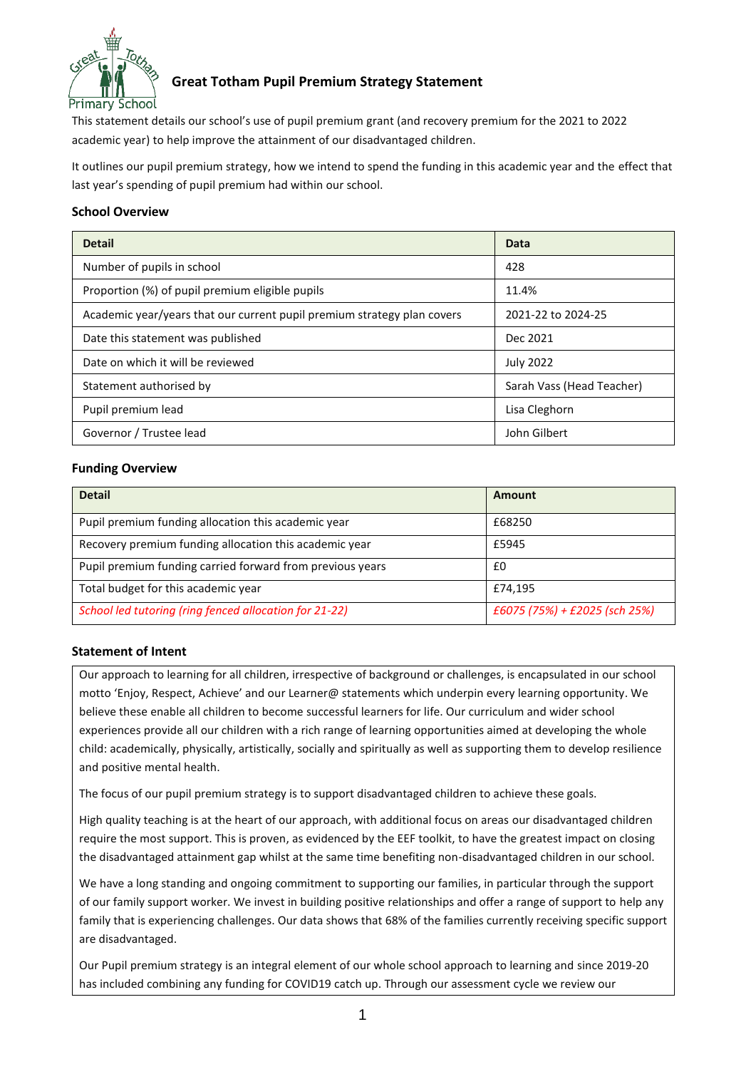

## **Great Totham Pupil Premium Strategy Statement**

This statement details our school's use of pupil premium grant (and recovery premium for the 2021 to 2022 academic year) to help improve the attainment of our disadvantaged children.

It outlines our pupil premium strategy, how we intend to spend the funding in this academic year and the effect that last year's spending of pupil premium had within our school.

### **School Overview**

| <b>Detail</b>                                                           | Data                      |
|-------------------------------------------------------------------------|---------------------------|
| Number of pupils in school                                              | 428                       |
| Proportion (%) of pupil premium eligible pupils                         | 11.4%                     |
| Academic year/years that our current pupil premium strategy plan covers | 2021-22 to 2024-25        |
| Date this statement was published                                       | Dec 2021                  |
| Date on which it will be reviewed                                       | <b>July 2022</b>          |
| Statement authorised by                                                 | Sarah Vass (Head Teacher) |
| Pupil premium lead                                                      | Lisa Cleghorn             |
| Governor / Trustee lead                                                 | John Gilbert              |

### **Funding Overview**

| <b>Detail</b>                                             | Amount                        |
|-----------------------------------------------------------|-------------------------------|
| Pupil premium funding allocation this academic year       | £68250                        |
| Recovery premium funding allocation this academic year    | £5945                         |
| Pupil premium funding carried forward from previous years | £0                            |
| Total budget for this academic year                       | £74,195                       |
| School led tutoring (ring fenced allocation for 21-22)    | £6075 (75%) + £2025 (sch 25%) |

#### **Statement of Intent**

Our approach to learning for all children, irrespective of background or challenges, is encapsulated in our school motto 'Enjoy, Respect, Achieve' and our Learner@ statements which underpin every learning opportunity. We believe these enable all children to become successful learners for life. Our curriculum and wider school experiences provide all our children with a rich range of learning opportunities aimed at developing the whole child: academically, physically, artistically, socially and spiritually as well as supporting them to develop resilience and positive mental health.

The focus of our pupil premium strategy is to support disadvantaged children to achieve these goals.

High quality teaching is at the heart of our approach, with additional focus on areas our disadvantaged children require the most support. This is proven, as evidenced by the EEF toolkit, to have the greatest impact on closing the disadvantaged attainment gap whilst at the same time benefiting non-disadvantaged children in our school.

We have a long standing and ongoing commitment to supporting our families, in particular through the support of our family support worker. We invest in building positive relationships and offer a range of support to help any family that is experiencing challenges. Our data shows that 68% of the families currently receiving specific support are disadvantaged.

Our Pupil premium strategy is an integral element of our whole school approach to learning and since 2019-20 has included combining any funding for COVID19 catch up. Through our assessment cycle we review our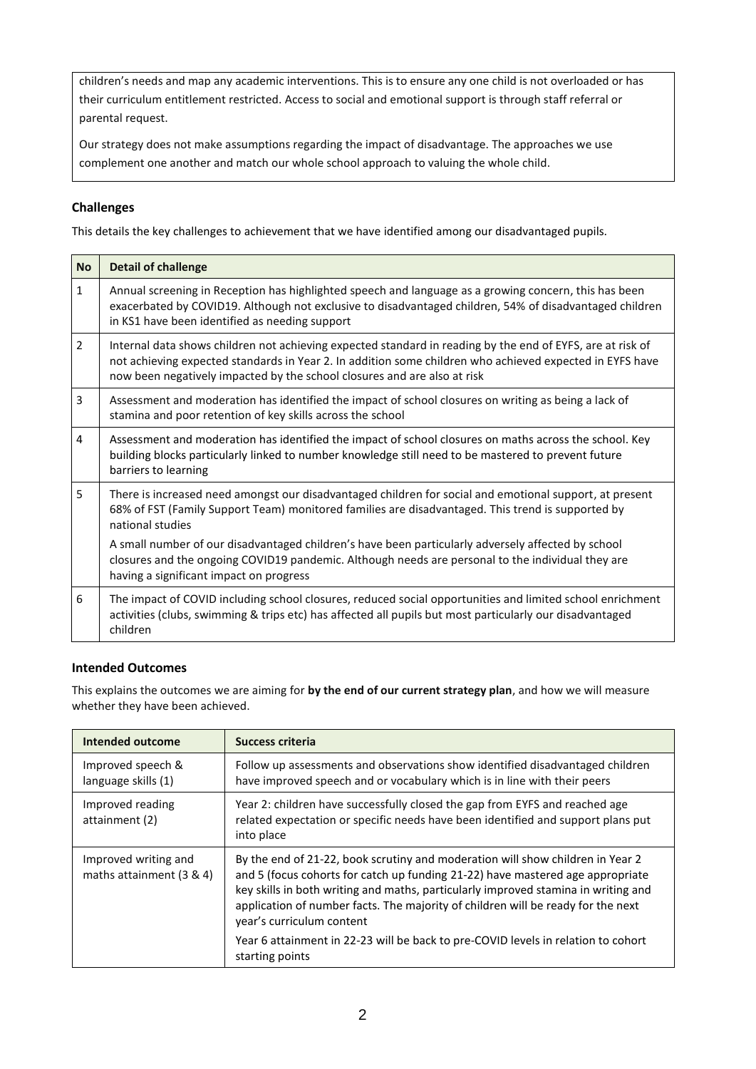children's needs and map any academic interventions. This is to ensure any one child is not overloaded or has their curriculum entitlement restricted. Access to social and emotional support is through staff referral or parental request.

Our strategy does not make assumptions regarding the impact of disadvantage. The approaches we use complement one another and match our whole school approach to valuing the whole child.

## **Challenges**

This details the key challenges to achievement that we have identified among our disadvantaged pupils.

| <b>No</b>      | <b>Detail of challenge</b>                                                                                                                                                                                                                                                                         |
|----------------|----------------------------------------------------------------------------------------------------------------------------------------------------------------------------------------------------------------------------------------------------------------------------------------------------|
| $\mathbf{1}$   | Annual screening in Reception has highlighted speech and language as a growing concern, this has been<br>exacerbated by COVID19. Although not exclusive to disadvantaged children, 54% of disadvantaged children<br>in KS1 have been identified as needing support                                 |
| $\overline{2}$ | Internal data shows children not achieving expected standard in reading by the end of EYFS, are at risk of<br>not achieving expected standards in Year 2. In addition some children who achieved expected in EYFS have<br>now been negatively impacted by the school closures and are also at risk |
| 3              | Assessment and moderation has identified the impact of school closures on writing as being a lack of<br>stamina and poor retention of key skills across the school                                                                                                                                 |
| 4              | Assessment and moderation has identified the impact of school closures on maths across the school. Key<br>building blocks particularly linked to number knowledge still need to be mastered to prevent future<br>barriers to learning                                                              |
| 5              | There is increased need amongst our disadvantaged children for social and emotional support, at present<br>68% of FST (Family Support Team) monitored families are disadvantaged. This trend is supported by<br>national studies                                                                   |
|                | A small number of our disadvantaged children's have been particularly adversely affected by school<br>closures and the ongoing COVID19 pandemic. Although needs are personal to the individual they are<br>having a significant impact on progress                                                 |
| 6              | The impact of COVID including school closures, reduced social opportunities and limited school enrichment<br>activities (clubs, swimming & trips etc) has affected all pupils but most particularly our disadvantaged<br>children                                                                  |

#### **Intended Outcomes**

This explains the outcomes we are aiming for **by the end of our current strategy plan**, and how we will measure whether they have been achieved.

| Intended outcome                                 | <b>Success criteria</b>                                                                                                                                                                                                                                                                                                                                                 |
|--------------------------------------------------|-------------------------------------------------------------------------------------------------------------------------------------------------------------------------------------------------------------------------------------------------------------------------------------------------------------------------------------------------------------------------|
| Improved speech &<br>language skills (1)         | Follow up assessments and observations show identified disadvantaged children<br>have improved speech and or vocabulary which is in line with their peers                                                                                                                                                                                                               |
| Improved reading<br>attainment (2)               | Year 2: children have successfully closed the gap from EYFS and reached age<br>related expectation or specific needs have been identified and support plans put<br>into place                                                                                                                                                                                           |
| Improved writing and<br>maths attainment (3 & 4) | By the end of 21-22, book scrutiny and moderation will show children in Year 2<br>and 5 (focus cohorts for catch up funding 21-22) have mastered age appropriate<br>key skills in both writing and maths, particularly improved stamina in writing and<br>application of number facts. The majority of children will be ready for the next<br>year's curriculum content |
|                                                  | Year 6 attainment in 22-23 will be back to pre-COVID levels in relation to cohort<br>starting points                                                                                                                                                                                                                                                                    |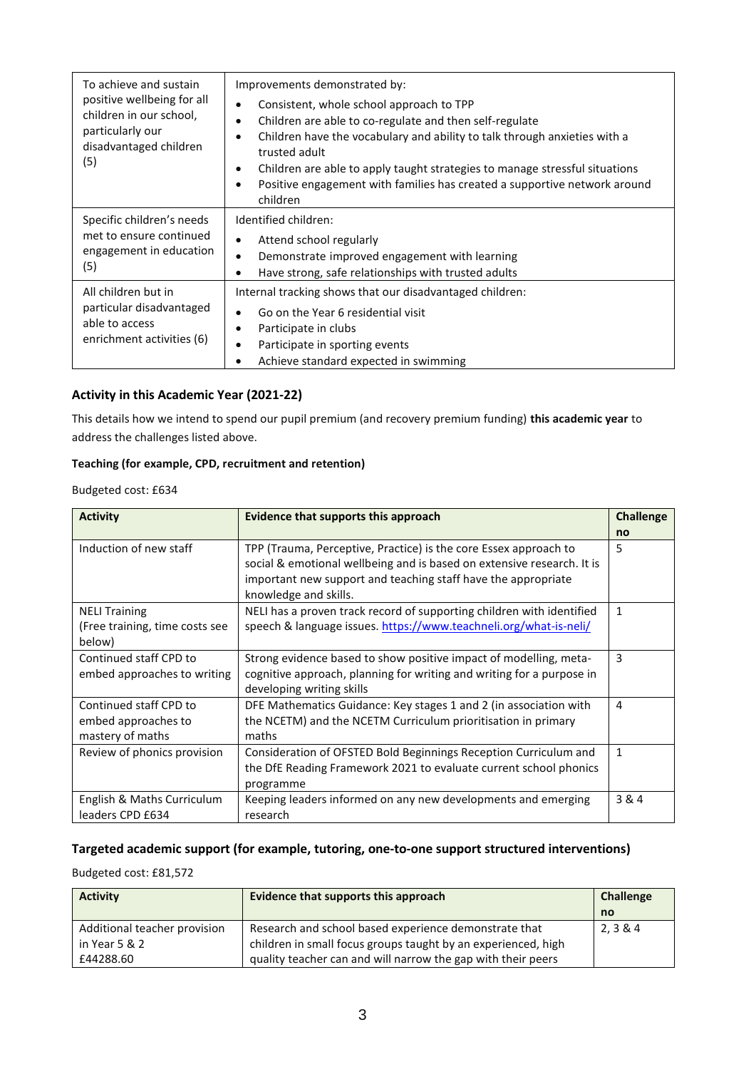| To achieve and sustain<br>positive wellbeing for all<br>children in our school,<br>particularly our<br>disadvantaged children<br>(5) | Improvements demonstrated by:<br>Consistent, whole school approach to TPP<br>Children are able to co-regulate and then self-regulate<br>Children have the vocabulary and ability to talk through anxieties with a<br>trusted adult<br>Children are able to apply taught strategies to manage stressful situations<br>٠<br>Positive engagement with families has created a supportive network around<br>$\bullet$<br>children |  |
|--------------------------------------------------------------------------------------------------------------------------------------|------------------------------------------------------------------------------------------------------------------------------------------------------------------------------------------------------------------------------------------------------------------------------------------------------------------------------------------------------------------------------------------------------------------------------|--|
| Specific children's needs<br>met to ensure continued<br>engagement in education<br>(5)                                               | Identified children:<br>Attend school regularly<br>٠<br>Demonstrate improved engagement with learning<br>$\bullet$<br>Have strong, safe relationships with trusted adults<br>٠                                                                                                                                                                                                                                               |  |
| All children but in<br>particular disadvantaged<br>able to access<br>enrichment activities (6)                                       | Internal tracking shows that our disadvantaged children:<br>Go on the Year 6 residential visit<br>$\bullet$<br>Participate in clubs<br>٠<br>Participate in sporting events<br>$\bullet$<br>Achieve standard expected in swimming<br>٠                                                                                                                                                                                        |  |

#### **Activity in this Academic Year (2021-22)**

This details how we intend to spend our pupil premium (and recovery premium funding) **this academic year** to address the challenges listed above.

#### **Teaching (for example, CPD, recruitment and retention)**

Budgeted cost: £634

| <b>Activity</b>                | <b>Evidence that supports this approach</b>                            | <b>Challenge</b> |
|--------------------------------|------------------------------------------------------------------------|------------------|
|                                |                                                                        | no               |
| Induction of new staff         | TPP (Trauma, Perceptive, Practice) is the core Essex approach to       | 5                |
|                                | social & emotional wellbeing and is based on extensive research. It is |                  |
|                                | important new support and teaching staff have the appropriate          |                  |
|                                | knowledge and skills.                                                  |                  |
| <b>NELI Training</b>           | NELI has a proven track record of supporting children with identified  | 1                |
| (Free training, time costs see | speech & language issues. https://www.teachneli.org/what-is-neli/      |                  |
| below)                         |                                                                        |                  |
| Continued staff CPD to         | Strong evidence based to show positive impact of modelling, meta-      | 3                |
| embed approaches to writing    | cognitive approach, planning for writing and writing for a purpose in  |                  |
|                                | developing writing skills                                              |                  |
| Continued staff CPD to         | DFE Mathematics Guidance: Key stages 1 and 2 (in association with      | 4                |
| embed approaches to            | the NCETM) and the NCETM Curriculum prioritisation in primary          |                  |
| mastery of maths               | maths                                                                  |                  |
| Review of phonics provision    | Consideration of OFSTED Bold Beginnings Reception Curriculum and       | 1                |
|                                | the DfE Reading Framework 2021 to evaluate current school phonics      |                  |
|                                | programme                                                              |                  |
| English & Maths Curriculum     | Keeping leaders informed on any new developments and emerging          | 3 & 4            |
| leaders CPD £634               | research                                                               |                  |

## **Targeted academic support (for example, tutoring, one-to-one support structured interventions)**

Budgeted cost: £81,572

| <b>Activity</b>              | Evidence that supports this approach                          | <b>Challenge</b> |
|------------------------------|---------------------------------------------------------------|------------------|
|                              |                                                               | no               |
| Additional teacher provision | Research and school based experience demonstrate that         | 2, 3 & 4         |
| in Year 5 & 2                | children in small focus groups taught by an experienced, high |                  |
| £44288.60                    | quality teacher can and will narrow the gap with their peers  |                  |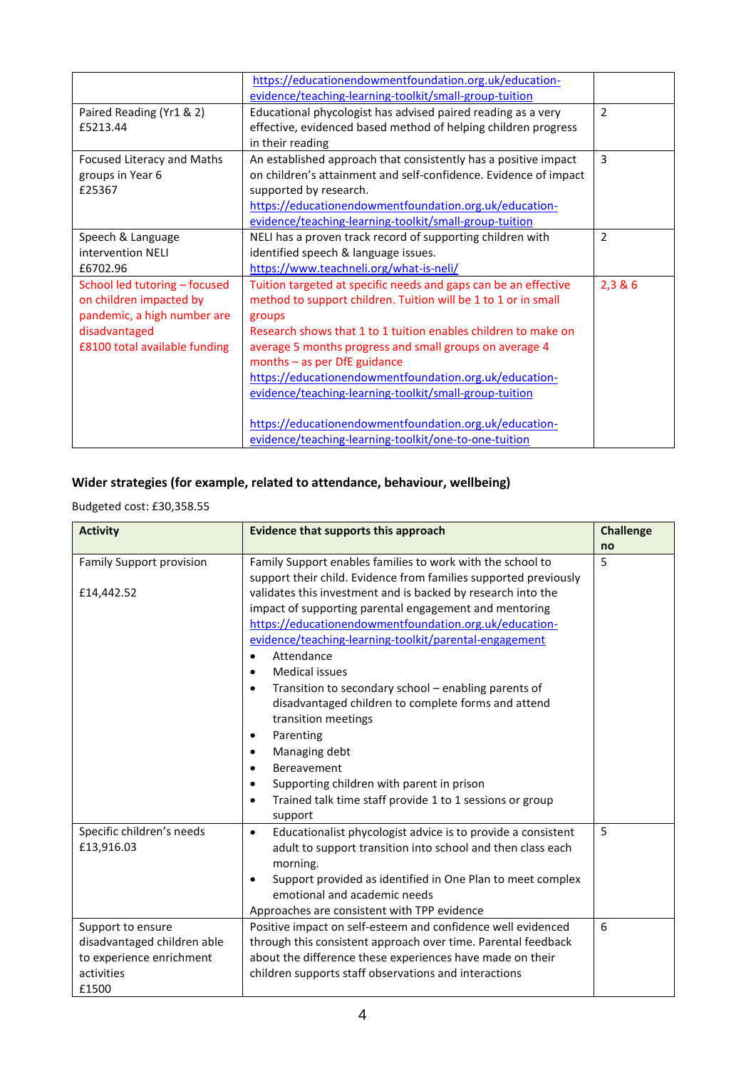|                               | https://educationendowmentfoundation.org.uk/education-           |                |
|-------------------------------|------------------------------------------------------------------|----------------|
|                               | evidence/teaching-learning-toolkit/small-group-tuition           |                |
| Paired Reading (Yr1 & 2)      | Educational phycologist has advised paired reading as a very     | $\overline{2}$ |
| £5213.44                      | effective, evidenced based method of helping children progress   |                |
|                               | in their reading                                                 |                |
| Focused Literacy and Maths    | An established approach that consistently has a positive impact  | 3              |
| groups in Year 6              | on children's attainment and self-confidence. Evidence of impact |                |
| £25367                        | supported by research.                                           |                |
|                               | https://educationendowmentfoundation.org.uk/education-           |                |
|                               | evidence/teaching-learning-toolkit/small-group-tuition           |                |
| Speech & Language             | NELI has a proven track record of supporting children with       | $\overline{2}$ |
| intervention NELI             | identified speech & language issues.                             |                |
| £6702.96                      | https://www.teachneli.org/what-is-neli/                          |                |
| School led tutoring - focused | Tuition targeted at specific needs and gaps can be an effective  | 2,3 & 6        |
| on children impacted by       | method to support children. Tuition will be 1 to 1 or in small   |                |
| pandemic, a high number are   | groups                                                           |                |
| disadvantaged                 | Research shows that 1 to 1 tuition enables children to make on   |                |
| £8100 total available funding | average 5 months progress and small groups on average 4          |                |
|                               | months $-$ as per DfE guidance                                   |                |
|                               | https://educationendowmentfoundation.org.uk/education-           |                |
|                               | evidence/teaching-learning-toolkit/small-group-tuition           |                |
|                               |                                                                  |                |
|                               | https://educationendowmentfoundation.org.uk/education-           |                |
|                               | evidence/teaching-learning-toolkit/one-to-one-tuition            |                |

# **Wider strategies (for example, related to attendance, behaviour, wellbeing)**

## Budgeted cost: £30,358.55

| <b>Activity</b>                                                                                     | Evidence that supports this approach                                                                                                                                                                                                                                                                                                                                                                                                                                                                                                                                                                                                                     | <b>Challenge</b> |
|-----------------------------------------------------------------------------------------------------|----------------------------------------------------------------------------------------------------------------------------------------------------------------------------------------------------------------------------------------------------------------------------------------------------------------------------------------------------------------------------------------------------------------------------------------------------------------------------------------------------------------------------------------------------------------------------------------------------------------------------------------------------------|------------------|
| <b>Family Support provision</b><br>£14,442.52                                                       | Family Support enables families to work with the school to<br>support their child. Evidence from families supported previously<br>validates this investment and is backed by research into the<br>impact of supporting parental engagement and mentoring<br>https://educationendowmentfoundation.org.uk/education-<br>evidence/teaching-learning-toolkit/parental-engagement<br>Attendance<br>$\bullet$<br><b>Medical issues</b><br>$\bullet$<br>Transition to secondary school – enabling parents of<br>$\bullet$<br>disadvantaged children to complete forms and attend<br>transition meetings<br>Parenting<br>$\bullet$<br>Managing debt<br>$\bullet$ | no<br>5          |
|                                                                                                     | Bereavement<br>$\bullet$<br>Supporting children with parent in prison<br>$\bullet$<br>Trained talk time staff provide 1 to 1 sessions or group<br>$\bullet$<br>support                                                                                                                                                                                                                                                                                                                                                                                                                                                                                   |                  |
| Specific children's needs<br>£13,916.03                                                             | Educationalist phycologist advice is to provide a consistent<br>$\bullet$<br>adult to support transition into school and then class each<br>morning.<br>Support provided as identified in One Plan to meet complex<br>$\bullet$<br>emotional and academic needs<br>Approaches are consistent with TPP evidence                                                                                                                                                                                                                                                                                                                                           | 5                |
| Support to ensure<br>disadvantaged children able<br>to experience enrichment<br>activities<br>£1500 | Positive impact on self-esteem and confidence well evidenced<br>through this consistent approach over time. Parental feedback<br>about the difference these experiences have made on their<br>children supports staff observations and interactions                                                                                                                                                                                                                                                                                                                                                                                                      | 6                |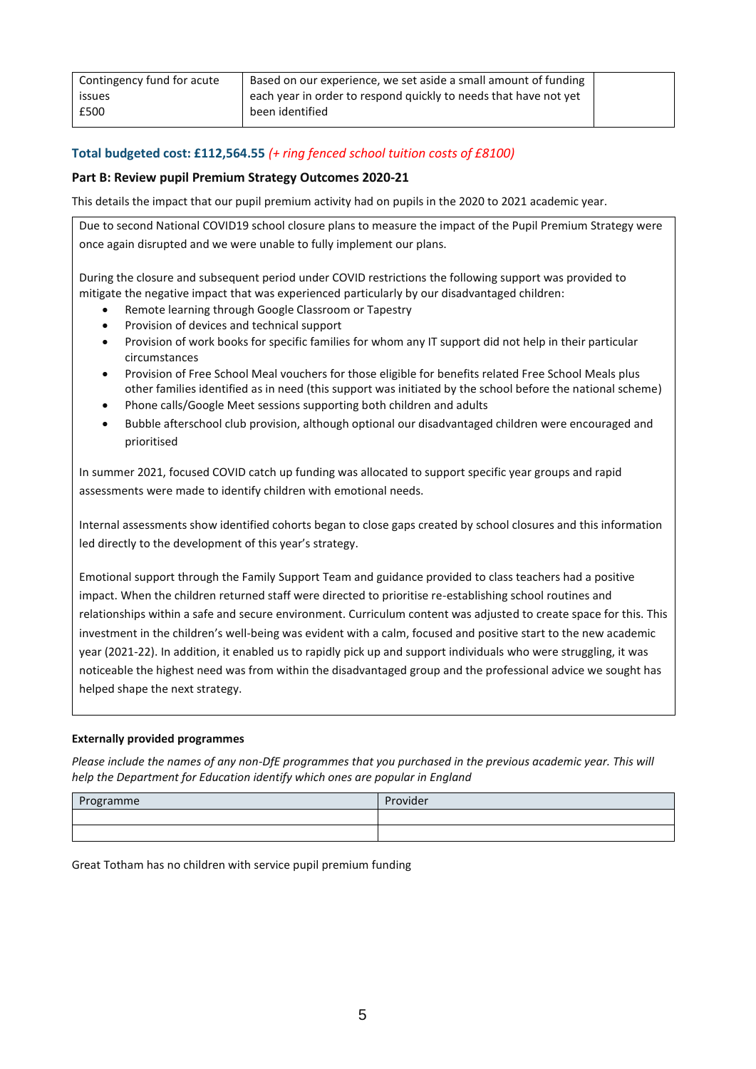| Contingency fund for acute | Based on our experience, we set aside a small amount of funding  |  |
|----------------------------|------------------------------------------------------------------|--|
| <i>issues</i>              | each year in order to respond quickly to needs that have not yet |  |
| £500                       | been identified                                                  |  |
|                            |                                                                  |  |

## **Total budgeted cost: £112,564.55** *(+ ring fenced school tuition costs of £8100)*

#### **Part B: Review pupil Premium Strategy Outcomes 2020-21**

This details the impact that our pupil premium activity had on pupils in the 2020 to 2021 academic year.

Due to second National COVID19 school closure plans to measure the impact of the Pupil Premium Strategy were once again disrupted and we were unable to fully implement our plans.

During the closure and subsequent period under COVID restrictions the following support was provided to mitigate the negative impact that was experienced particularly by our disadvantaged children:

- Remote learning through Google Classroom or Tapestry
- Provision of devices and technical support
- Provision of work books for specific families for whom any IT support did not help in their particular circumstances
- Provision of Free School Meal vouchers for those eligible for benefits related Free School Meals plus other families identified as in need (this support was initiated by the school before the national scheme)
- Phone calls/Google Meet sessions supporting both children and adults
- Bubble afterschool club provision, although optional our disadvantaged children were encouraged and prioritised

In summer 2021, focused COVID catch up funding was allocated to support specific year groups and rapid assessments were made to identify children with emotional needs.

Internal assessments show identified cohorts began to close gaps created by school closures and this information led directly to the development of this year's strategy.

Emotional support through the Family Support Team and guidance provided to class teachers had a positive impact. When the children returned staff were directed to prioritise re-establishing school routines and relationships within a safe and secure environment. Curriculum content was adjusted to create space for this. This investment in the children's well-being was evident with a calm, focused and positive start to the new academic year (2021-22). In addition, it enabled us to rapidly pick up and support individuals who were struggling, it was noticeable the highest need was from within the disadvantaged group and the professional advice we sought has helped shape the next strategy.

#### **Externally provided programmes**

*Please include the names of any non-DfE programmes that you purchased in the previous academic year. This will help the Department for Education identify which ones are popular in England*

| Programme | Provider |
|-----------|----------|
|           |          |
|           |          |

Great Totham has no children with service pupil premium funding